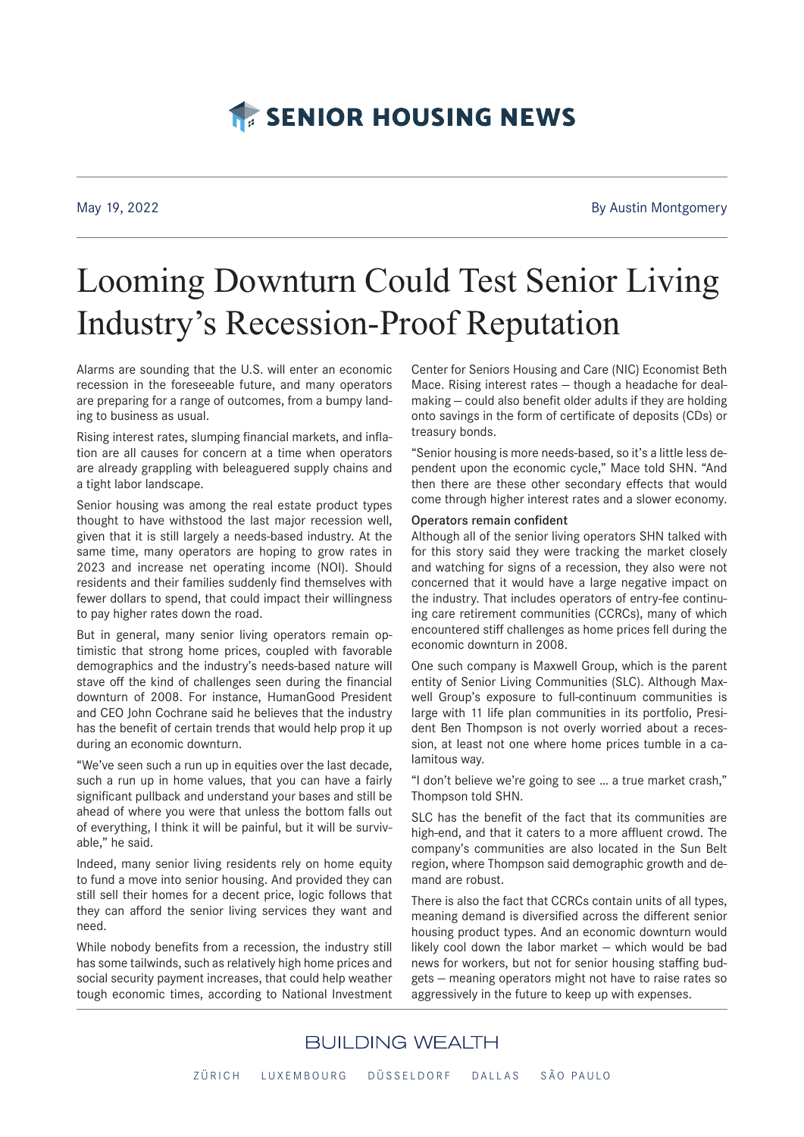# **TE SENIOR HOUSING NEWS**

May 19, 2022 **By Austin Montgomery** By Austin Montgomery

# Looming Downturn Could Test Senior Living Industry's Recession-Proof Reputation

Alarms are sounding that the U.S. will enter an economic recession in the foreseeable future, and many operators are preparing for a range of outcomes, from a bumpy landing to business as usual.

Rising interest rates, slumping financial markets, and inflation are all causes for concern at a time when operators are already grappling with beleaguered supply chains and a tight labor landscape.

Senior housing was among the real estate product types thought to have withstood the last major recession well, given that it is still largely a needs-based industry. At the same time, many operators are hoping to grow rates in 2023 and increase net operating income (NOI). Should residents and their families suddenly find themselves with fewer dollars to spend, that could impact their willingness to pay higher rates down the road.

But in general, many senior living operators remain optimistic that strong home prices, coupled with favorable demographics and the industry's needs-based nature will stave off the kind of challenges seen during the financial downturn of 2008. For instance, HumanGood President and CEO John Cochrane said he believes that the industry has the benefit of certain trends that would help prop it up during an economic downturn.

"We've seen such a run up in equities over the last decade, such a run up in home values, that you can have a fairly significant pullback and understand your bases and still be ahead of where you were that unless the bottom falls out of everything, I think it will be painful, but it will be survivable," he said.

Indeed, many senior living residents rely on home equity to fund a move into senior housing. And provided they can still sell their homes for a decent price, logic follows that they can afford the senior living services they want and need.

While nobody benefits from a recession, the industry still has some tailwinds, such as relatively high home prices and social security payment increases, that could help weather tough economic times, according to National Investment

Center for Seniors Housing and Care (NIC) Economist Beth Mace. Rising interest rates — though a headache for dealmaking — could also benefit older adults if they are holding onto savings in the form of certificate of deposits (CDs) or treasury bonds.

"Senior housing is more needs-based, so it's a little less dependent upon the economic cycle," Mace told SHN. "And then there are these other secondary effects that would come through higher interest rates and a slower economy.

#### Operators remain confident

Although all of the senior living operators SHN talked with for this story said they were tracking the market closely and watching for signs of a recession, they also were not concerned that it would have a large negative impact on the industry. That includes operators of entry-fee continuing care retirement communities (CCRCs), many of which encountered stiff challenges as home prices fell during the economic downturn in 2008.

One such company is Maxwell Group, which is the parent entity of Senior Living Communities (SLC). Although Maxwell Group's exposure to full-continuum communities is large with 11 life plan communities in its portfolio, President Ben Thompson is not overly worried about a recession, at least not one where home prices tumble in a calamitous way.

"I don't believe we're going to see … a true market crash," Thompson told SHN.

SLC has the benefit of the fact that its communities are high-end, and that it caters to a more affluent crowd. The company's communities are also located in the Sun Belt region, where Thompson said demographic growth and demand are robust.

There is also the fact that CCRCs contain units of all types, meaning demand is diversified across the different senior housing product types. And an economic downturn would likely cool down the labor market — which would be bad news for workers, but not for senior housing staffing budgets — meaning operators might not have to raise rates so aggressively in the future to keep up with expenses.

### **BUILDING WEALTH** ZÜRICH LUXEMBOURG DÜSSELDORF DALLAS SÃO PAULO